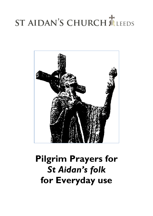# ST AIDAN'S CHURCH MLEEDS



# **Pilgrim Prayers for** *St Aidan's folk* **for Everyday use**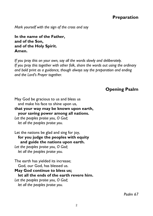# **Preparation**

*Mark yourself with the sign of the cross and say*

**In the name of the Father, and of the Son, and of the Holy Spirit. Amen.**

*If you pray this on your own, say all the words slowly and deliberately. If you pray this together with other folk, share the words out using the ordinary and bold print as a guidance, though always say the preparation and ending and the Lord's Prayer together.*

# **Opening Psalm**

May God be gracious to us and bless us and make his face to shine upon us, **that your way may be known upon earth, your saving power among all nations.** *Let the peoples praise you, O God; let all the peoples praise you.*

Let the nations be glad and sing for joy,  **for you judge the peoples with equity and guide the nations upon earth.** *Let the peoples praise you, O God;*

 *let all the peoples praise you.*

The earth has yielded its increase; God, our God, has blessed us. **May God continue to bless us; let all the ends of the earth revere him.** *Let the peoples praise you, O God; let all the peoples praise you.*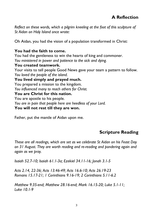*Reflect on these words, which a pilgrim kneeling at the foot of this sculpture of St Aidan on Holy Island once wrote:*

Oh Aidan, you had the vision of a population transformed in Christ:

#### **You had the faith to come.**

You had the gentleness to win the hearts of king and commoner. *You ministered in power and patience to the sick and dying.*

# **You created teamwork.**

Your visits to tell people Good News gave your team a pattern to follow. *You loved the people of the island.*

**You lived simply and prayed much.**

You prepared a mission to the kingdom. *You influenced many to reach others for Christ.*

# **You are Christ for this nation.**

You are apostle to his people.

*You are in pain that people here are heedless of your Lord.*

#### **You will not rest till they are won.**

Father, put the mantle of Aidan upon me.

# **Scripture Reading**

*These are all readings, which are set as we celebrate St Aidan on his Feast Day on 31 August. They are worth reading and re-reading and pondering again and again as we pray.*

*Isaiah 52.7-10; Isaiah 61.1-3a; Ezekiel 34.11-16; Jonah 3.1-5*

*Acts 2.14, 22-36; Acts 13.46-49; Acts 16.6-10; Acts 26.19-23 Romans 15.17-21; 1 Corinthians 9.16-19; 2 Corinthians 5.11-6.2*

*Matthew 9.35-end; Matthew 28.16-end; Mark 16.15-20; Luke 5.1-11; Luke 10.1-9*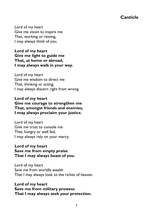# **Canticle**

Lord of my heart Give me vision to inspire me That, working or resting, I may always think of you.

# **Lord of my heart Give me light to guide me That, at home or abroad, I may always walk in your way.**

Lord of my heart Give me wisdom to direct me That, thinking or acting, I may always discern right from wrong.

**Lord of my heart Give me courage to strengthen me That, amongst friends and enemies, I may always proclaim your justice.**

Lord of my heart Give me trust to console me That, hungry or well fed, I may always rely on your mercy.

# **Lord of my heart Save me from empty praise That I may always boast of you.**

Lord of my heart Save me from worldly wealth That I may always look to the riches of heaven.

**Lord of my heart Save me from military prowess That I may always seek your protection.**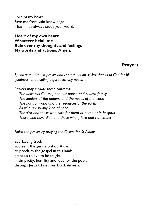Lord of my heart Save me from vain knowledge That I may always study your word.

**Heart of my own heart Whatever befall me Rule over my thoughts and feelings My words and actions. Amen.**

# **Prayers**

*Spend some time in prayer and contemplation, giving thanks to God for his goodness, and holding before him any needs.*

*Prayers may include these concerns:*

*The universal Church, and our parish and church family The leaders of the nations and the needs of the world The natural world and the resources of the earth All who are in any kind of need The sick and those who care for them at home or in hospital Those who have died and those who grieve and remember*

*Finish the prayer by praying the Collect for St Aidan:*

Everlasting God, you sent the gentle bishop Aidan to proclaim the gospel in this land: grant us to live as he taught in simplicity, humility and love for the poor; through Jesus Christ our Lord. **Amen.**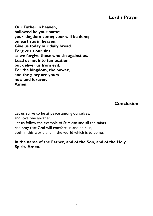# **Lord's Prayer**

**Our Father in heaven, hallowed be your name; your kingdom come; your will be done; on earth as in heaven. Give us today our daily bread. Forgive us our sins, as we forgive those who sin against us. Lead us not into temptation; but deliver us from evil. For the kingdom, the power, and the glory are yours now and forever. Amen.**

**Conclusion**

Let us strive to be at peace among ourselves, and love one another. Let us follow the example of St Aidan and all the saints and pray that God will comfort us and help us, both in this world and in the world which is to come.

# **In the name of the Father, and of the Son, and of the Holy Spirit. Amen.**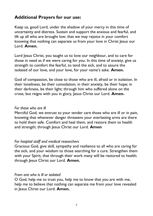# **Additional Prayers for our use:**

Keep us, good Lord, under the shadow of your mercy in this time of uncertainty and distress. Sustain and support the anxious and fearful, and lift up all who are brought low; that we may rejoice in your comfort knowing that nothing can separate us from your love in Christ Jesus our Lord. **Amen.**

Lord Jesus Christ, you taught us to love our neighbour, and to care for those in need as if we were caring for you. In this time of anxiety, give us strength to comfort the fearful, to tend the sick, and to assure the isolated of our love, and your love, for your name's sake. **Amen.**

God of compassion, be close to those who are ill, afraid or in isolation. In their loneliness, be their consolation; in their anxiety, be their hope; in their darkness, be their light; through him who suffered alone on the cross, but reigns with you in glory, Jesus Christ our Lord. **Amen.**

#### *For those who are ill*

Merciful God, we entrust to your tender care those who are ill or in pain, knowing that whenever danger threatens your everlasting arms are there to hold them safe. Comfort and heal them, and restore them to health and strength; through Jesus Christ our Lord. Amen

# *For hospital staff and medical researchers*

Gracious God, give skill, sympathy and resilience to all who are caring for the sick, and your wisdom to those searching for a cure. Strengthen them with your Spirit, that through their work many will be restored to health; through Jesus Christ our Lord. **Amen.**

#### *From one who is ill or isolated*

O God, help me to trust you, help me to know that you are with me, help me to believe that nothing can separate me from your love revealed in Jesus Christ our Lord. **Amen.**